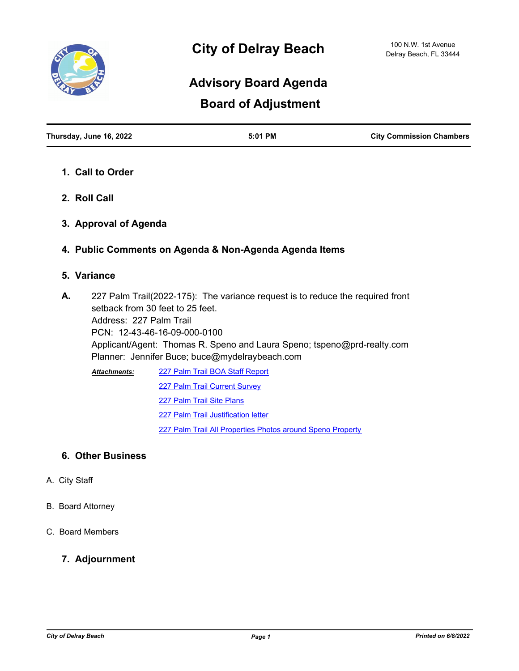

# **Advisory Board Agenda**

## **Board of Adjustment**

| Thursday, June 16, 2022 | $5:01$ PM | <b>City Commission Chambers</b> |
|-------------------------|-----------|---------------------------------|
|                         |           |                                 |

- **1. Call to Order**
- **2. Roll Call**
- **3. Approval of Agenda**
- **4. Public Comments on Agenda & Non-Agenda Agenda Items**

### **5. Variance**

227 Palm Trail(2022-175): The variance request is to reduce the required front setback from 30 feet to 25 feet. Address: 227 Palm Trail PCN: 12-43-46-16-09-000-0100 Applicant/Agent: Thomas R. Speno and Laura Speno; tspeno@prd-realty.com Planner: Jennifer Buce; buce@mydelraybeach.com **A.**

[227 Palm Trail BOA Staff Report](http://delraybeach.legistar.com/gateway.aspx?M=F&ID=7339c8f4-dfb6-4934-81a9-00a8e6d49baa.pdf) [227 Palm Trail Current Survey](http://delraybeach.legistar.com/gateway.aspx?M=F&ID=3e3bcef1-3d7c-4c67-929a-e77ad944ff20.pdf) [227 Palm Trail Site Plans](http://delraybeach.legistar.com/gateway.aspx?M=F&ID=2cfb736a-369c-4dd5-89b3-06878b9a6b2d.pdf) [227 Palm Trail Justification letter](http://delraybeach.legistar.com/gateway.aspx?M=F&ID=ee1e2c42-464f-493c-8e99-5eeac1c3c4f8.pdf) [227 Palm Trail All Properties Photos around Speno Property](http://delraybeach.legistar.com/gateway.aspx?M=F&ID=6249253c-f0f5-4688-8707-b3a519e3f49c.pdf) *Attachments:*

### **6. Other Business**

- A. City Staff
- B. Board Attorney
- C. Board Members

#### **7. Adjournment**